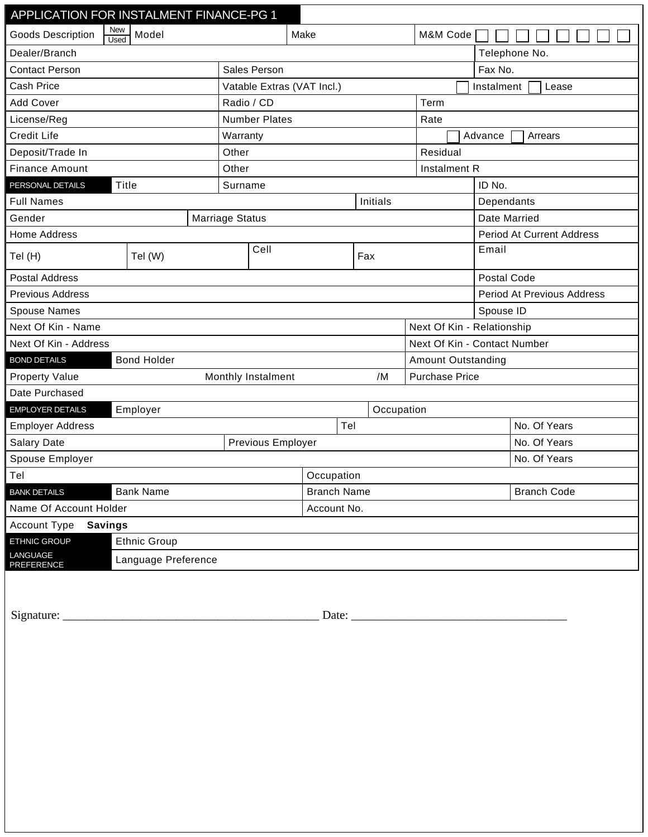| APPLICATION FOR INSTALMENT FINANCE-PG 1        |                     |          |                            |     |            |            |                              |                                  |                    |  |
|------------------------------------------------|---------------------|----------|----------------------------|-----|------------|------------|------------------------------|----------------------------------|--------------------|--|
| New<br><b>Goods Description</b><br><b>Used</b> | Model               |          | Make                       |     |            |            | M&M Code                     |                                  |                    |  |
| Dealer/Branch                                  |                     |          |                            |     |            |            |                              |                                  | Telephone No.      |  |
| <b>Contact Person</b>                          |                     |          | Sales Person               |     |            |            |                              |                                  | Fax No.            |  |
| <b>Cash Price</b>                              |                     |          | Vatable Extras (VAT Incl.) |     |            |            |                              | Instalment<br>Lease              |                    |  |
| <b>Add Cover</b>                               |                     |          | Radio / CD<br>Term         |     |            |            |                              |                                  |                    |  |
| License/Reg                                    |                     |          | <b>Number Plates</b>       |     |            |            | Rate                         |                                  |                    |  |
| <b>Credit Life</b>                             |                     | Warranty |                            |     |            |            | Advance<br>Arrears           |                                  |                    |  |
| Deposit/Trade In                               |                     | Other    |                            |     |            |            | Residual                     |                                  |                    |  |
| <b>Finance Amount</b>                          |                     | Other    |                            |     |            |            | Instalment R                 |                                  |                    |  |
| Title<br>PERSONAL DETAILS                      |                     | Surname  |                            |     |            |            | ID No.                       |                                  |                    |  |
| <b>Full Names</b>                              |                     | Initials |                            |     |            | Dependants |                              |                                  |                    |  |
| Gender                                         |                     |          | <b>Marriage Status</b>     |     |            |            |                              | Date Married                     |                    |  |
| Home Address                                   |                     |          |                            |     |            |            |                              | <b>Period At Current Address</b> |                    |  |
| Tel (H)                                        | Tel (W)             | Cell     |                            | Fax |            |            | Email                        |                                  |                    |  |
| <b>Postal Address</b>                          |                     |          |                            |     |            |            |                              | Postal Code                      |                    |  |
| <b>Previous Address</b>                        |                     |          |                            |     |            |            |                              | Period At Previous Address       |                    |  |
| <b>Spouse Names</b>                            |                     |          |                            |     |            |            |                              | Spouse ID                        |                    |  |
| Next Of Kin - Name                             |                     |          |                            |     |            |            |                              | Next Of Kin - Relationship       |                    |  |
| Next Of Kin - Address                          |                     |          |                            |     |            |            | Next Of Kin - Contact Number |                                  |                    |  |
| <b>BOND DETAILS</b><br><b>Bond Holder</b>      |                     |          |                            |     |            |            | <b>Amount Outstanding</b>    |                                  |                    |  |
| <b>Property Value</b>                          |                     |          | Monthly Instalment         |     | /M         |            | <b>Purchase Price</b>        |                                  |                    |  |
| Date Purchased                                 |                     |          |                            |     |            |            |                              |                                  |                    |  |
| <b>EMPLOYER DETAILS</b>                        | Employer            |          |                            |     | Occupation |            |                              |                                  |                    |  |
| <b>Employer Address</b>                        |                     |          |                            | Tel |            |            |                              |                                  | No. Of Years       |  |
| Salary Date                                    |                     |          | Previous Employer          |     |            |            |                              |                                  | No. Of Years       |  |
| Spouse Employer                                |                     |          |                            |     |            |            |                              |                                  | No. Of Years       |  |
| Tel                                            |                     |          | Occupation                 |     |            |            |                              |                                  |                    |  |
| <b>Bank Name</b><br><b>BANK DETAILS</b>        |                     |          | <b>Branch Name</b>         |     |            |            |                              |                                  | <b>Branch Code</b> |  |
| Name Of Account Holder                         |                     |          | Account No.                |     |            |            |                              |                                  |                    |  |
| Account Type<br>Savings                        |                     |          |                            |     |            |            |                              |                                  |                    |  |
| ETHNIC GROUP                                   | Ethnic Group        |          |                            |     |            |            |                              |                                  |                    |  |
| LANGUAGE<br>PREFERENCE                         | Language Preference |          |                            |     |            |            |                              |                                  |                    |  |
|                                                |                     |          |                            |     |            |            |                              |                                  |                    |  |
|                                                |                     |          |                            |     |            |            |                              |                                  |                    |  |